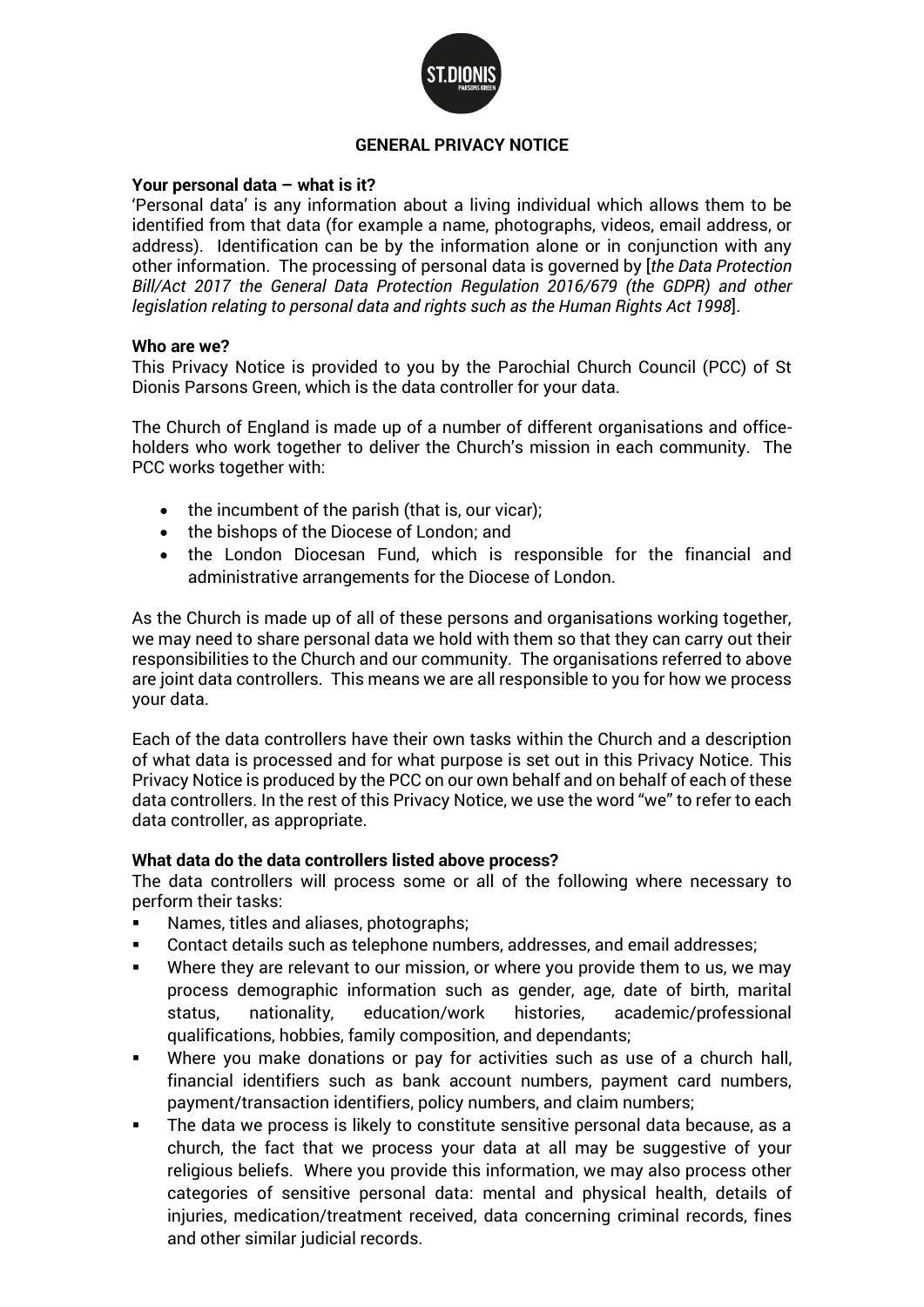

#### **GENERAL PRIVACY NOTICE**

#### **Your personal data – what is it?**

'Personal data' is any information about a living individual which allows them to be identified from that data (for example a name, photographs, videos, email address, or address). Identification can be by the information alone or in conjunction with any other information. The processing of personal data is governed by [*the Data Protection Bill/Act 2017 the General Data Protection Regulation 2016/679 (the GDPR) and other legislation relating to personal data and rights such as the Human Rights Act 1998*].

#### **Who are we?**

This Privacy Notice is provided to you by the Parochial Church Council (PCC) of St Dionis Parsons Green, which is the data controller for your data.

The Church of England is made up of a number of different organisations and officeholders who work together to deliver the Church's mission in each community. The PCC works together with:

- the incumbent of the parish (that is, our vicar);
- the bishops of the Diocese of London; and
- the London Diocesan Fund, which is responsible for the financial and administrative arrangements for the Diocese of London.

As the Church is made up of all of these persons and organisations working together, we may need to share personal data we hold with them so that they can carry out their responsibilities to the Church and our community. The organisations referred to above are joint data controllers. This means we are all responsible to you for how we process your data.

Each of the data controllers have their own tasks within the Church and a description of what data is processed and for what purpose is set out in this Privacy Notice. This Privacy Notice is produced by the PCC on our own behalf and on behalf of each of these data controllers. In the rest of this Privacy Notice, we use the word "we" to refer to each data controller, as appropriate.

#### **What data do the data controllers listed above process?**

The data controllers will process some or all of the following where necessary to perform their tasks:

- Names, titles and aliases, photographs;
- Contact details such as telephone numbers, addresses, and email addresses;
- Where they are relevant to our mission, or where you provide them to us, we may process demographic information such as gender, age, date of birth, marital status, nationality, education/work histories, academic/professional qualifications, hobbies, family composition, and dependants;
- Where you make donations or pay for activities such as use of a church hall, financial identifiers such as bank account numbers, payment card numbers, payment/transaction identifiers, policy numbers, and claim numbers;
- The data we process is likely to constitute sensitive personal data because, as a church, the fact that we process your data at all may be suggestive of your religious beliefs. Where you provide this information, we may also process other categories of sensitive personal data: mental and physical health, details of injuries, medication/treatment received, data concerning criminal records, fines and other similar judicial records.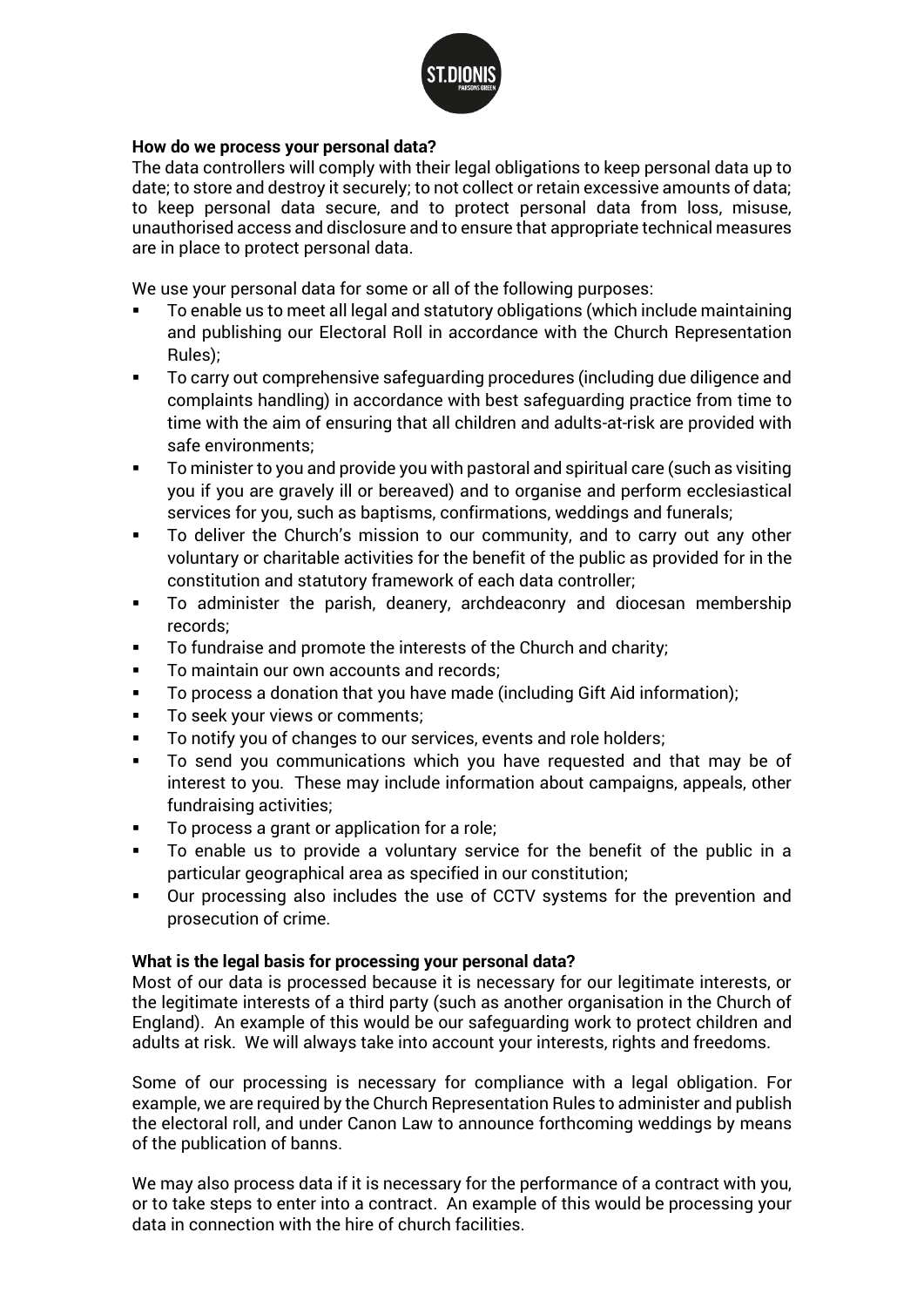

#### **How do we process your personal data?**

The data controllers will comply with their legal obligations to keep personal data up to date; to store and destroy it securely; to not collect or retain excessive amounts of data; to keep personal data secure, and to protect personal data from loss, misuse, unauthorised access and disclosure and to ensure that appropriate technical measures are in place to protect personal data.

We use your personal data for some or all of the following purposes:

- To enable us to meet all legal and statutory obligations (which include maintaining and publishing our Electoral Roll in accordance with the Church Representation Rules);
- To carry out comprehensive safeguarding procedures (including due diligence and complaints handling) in accordance with best safeguarding practice from time to time with the aim of ensuring that all children and adults-at-risk are provided with safe environments;
- To minister to you and provide you with pastoral and spiritual care (such as visiting you if you are gravely ill or bereaved) and to organise and perform ecclesiastical services for you, such as baptisms, confirmations, weddings and funerals;
- To deliver the Church's mission to our community, and to carry out any other voluntary or charitable activities for the benefit of the public as provided for in the constitution and statutory framework of each data controller;
- To administer the parish, deanery, archdeaconry and diocesan membership records;
- To fundraise and promote the interests of the Church and charity;
- To maintain our own accounts and records:
- To process a donation that you have made (including Gift Aid information);
- To seek your views or comments;
- To notify you of changes to our services, events and role holders;
- To send you communications which you have requested and that may be of interest to you. These may include information about campaigns, appeals, other fundraising activities;
- To process a grant or application for a role;
- To enable us to provide a voluntary service for the benefit of the public in a particular geographical area as specified in our constitution;
- Our processing also includes the use of CCTV systems for the prevention and prosecution of crime.

## **What is the legal basis for processing your personal data?**

Most of our data is processed because it is necessary for our legitimate interests, or the legitimate interests of a third party (such as another organisation in the Church of England). An example of this would be our safeguarding work to protect children and adults at risk. We will always take into account your interests, rights and freedoms.

Some of our processing is necessary for compliance with a legal obligation. For example, we are required by the Church Representation Rules to administer and publish the electoral roll, and under Canon Law to announce forthcoming weddings by means of the publication of banns.

We may also process data if it is necessary for the performance of a contract with you, or to take steps to enter into a contract. An example of this would be processing your data in connection with the hire of church facilities.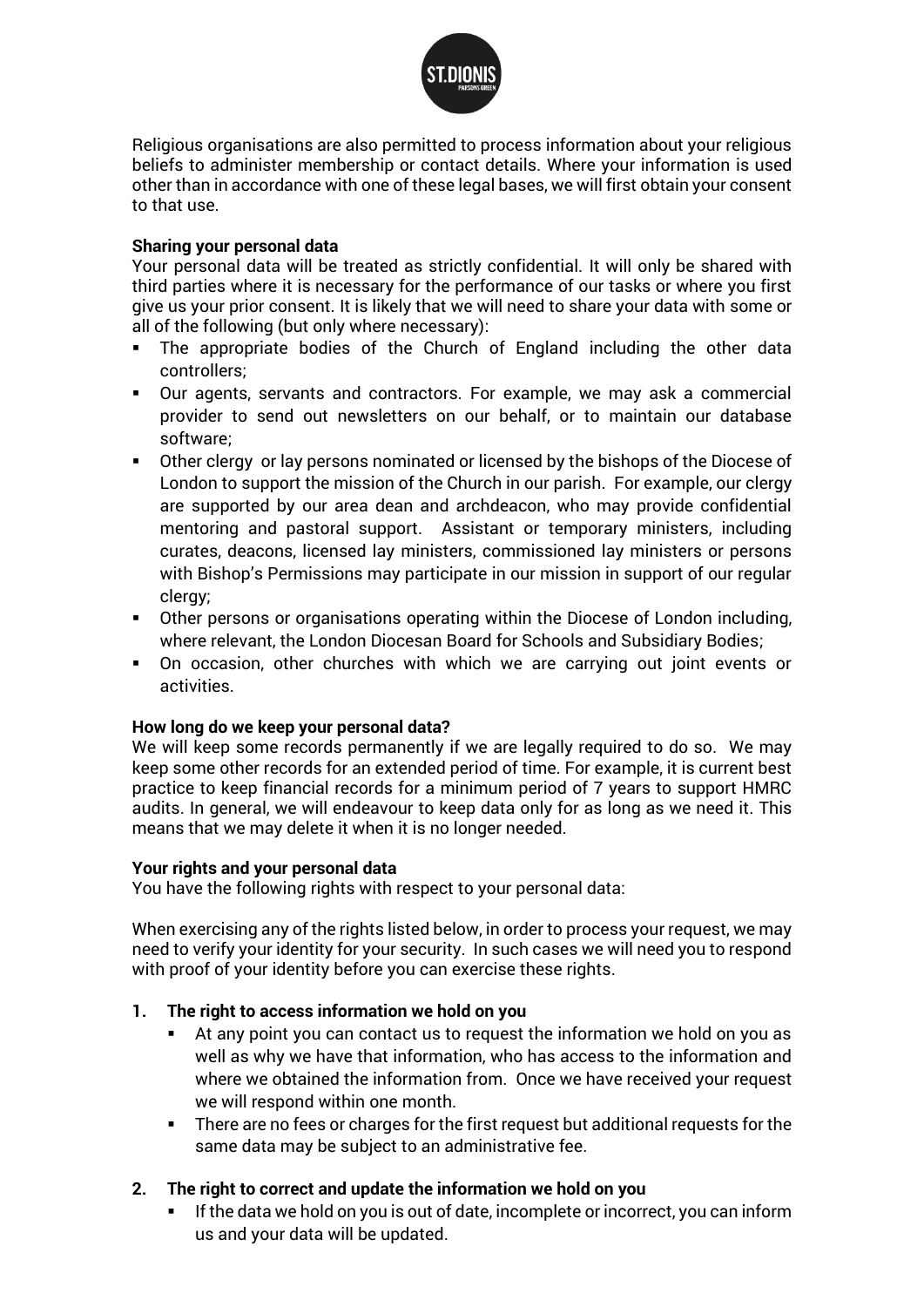

Religious organisations are also permitted to process information about your religious beliefs to administer membership or contact details. Where your information is used other than in accordance with one of these legal bases, we will first obtain your consent to that use.

#### **Sharing your personal data**

Your personal data will be treated as strictly confidential. It will only be shared with third parties where it is necessary for the performance of our tasks or where you first give us your prior consent. It is likely that we will need to share your data with some or all of the following (but only where necessary):

- The appropriate bodies of the Church of England including the other data controllers;
- Our agents, servants and contractors. For example, we may ask a commercial provider to send out newsletters on our behalf, or to maintain our database software;
- Other clergy or lay persons nominated or licensed by the bishops of the Diocese of London to support the mission of the Church in our parish. For example, our clergy are supported by our area dean and archdeacon, who may provide confidential mentoring and pastoral support. Assistant or temporary ministers, including curates, deacons, licensed lay ministers, commissioned lay ministers or persons with Bishop's Permissions may participate in our mission in support of our regular clergy;
- Other persons or organisations operating within the Diocese of London including, where relevant, the London Diocesan Board for Schools and Subsidiary Bodies;
- On occasion, other churches with which we are carrying out joint events or activities.

#### **How long do we keep your personal data?**

We will keep some records permanently if we are legally required to do so. We may keep some other records for an extended period of time. For example, it is current best practice to keep financial records for a minimum period of 7 years to support HMRC audits. In general, we will endeavour to keep data only for as long as we need it. This means that we may delete it when it is no longer needed.

#### **Your rights and your personal data**

You have the following rights with respect to your personal data:

When exercising any of the rights listed below, in order to process your request, we may need to verify your identity for your security. In such cases we will need you to respond with proof of your identity before you can exercise these rights.

## **1. The right to access information we hold on you**

- At any point you can contact us to request the information we hold on you as well as why we have that information, who has access to the information and where we obtained the information from. Once we have received your request we will respond within one month.
- There are no fees or charges for the first request but additional requests for the same data may be subject to an administrative fee.

## **2. The right to correct and update the information we hold on you**

If the data we hold on you is out of date, incomplete or incorrect, you can inform us and your data will be updated.